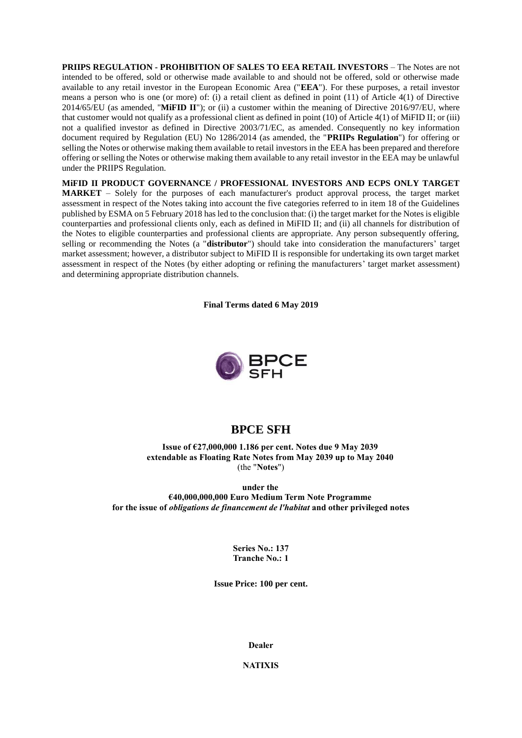**PRIIPS REGULATION - PROHIBITION OF SALES TO EEA RETAIL INVESTORS** – The Notes are not intended to be offered, sold or otherwise made available to and should not be offered, sold or otherwise made available to any retail investor in the European Economic Area ("**EEA**"). For these purposes, a retail investor means a person who is one (or more) of: (i) a retail client as defined in point (11) of Article 4(1) of Directive 2014/65/EU (as amended, "**MiFID II**"); or (ii) a customer within the meaning of Directive 2016/97/EU, where that customer would not qualify as a professional client as defined in point (10) of Article 4(1) of MiFID II; or (iii) not a qualified investor as defined in Directive 2003/71/EC, as amended. Consequently no key information document required by Regulation (EU) No 1286/2014 (as amended, the "**PRIIPs Regulation**") for offering or selling the Notes or otherwise making them available to retail investors in the EEA has been prepared and therefore offering or selling the Notes or otherwise making them available to any retail investor in the EEA may be unlawful under the PRIIPS Regulation.

**MiFID II PRODUCT GOVERNANCE / PROFESSIONAL INVESTORS AND ECPS ONLY TARGET MARKET** – Solely for the purposes of each manufacturer's product approval process, the target market assessment in respect of the Notes taking into account the five categories referred to in item 18 of the Guidelines published by ESMA on 5 February 2018 has led to the conclusion that: (i) the target market for the Notes is eligible counterparties and professional clients only, each as defined in MiFID II; and (ii) all channels for distribution of the Notes to eligible counterparties and professional clients are appropriate. Any person subsequently offering, selling or recommending the Notes (a "**distributor**") should take into consideration the manufacturers' target market assessment; however, a distributor subject to MiFID II is responsible for undertaking its own target market assessment in respect of the Notes (by either adopting or refining the manufacturers' target market assessment) and determining appropriate distribution channels.

**Final Terms dated 6 May 2019**



# **BPCE SFH**

**Issue of €27,000,000 1.186 per cent. Notes due 9 May 2039 extendable as Floating Rate Notes from May 2039 up to May 2040** (the "**Notes**")

**under the €40,000,000,000 Euro Medium Term Note Programme for the issue of** *obligations de financement de l'habitat* **and other privileged notes**

> **Series No.: 137 Tranche No.: 1**

**Issue Price: 100 per cent.**

**Dealer**

**NATIXIS**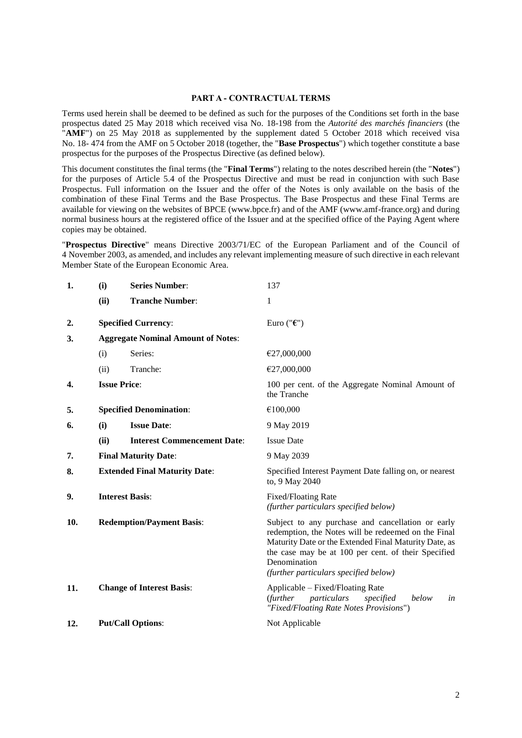#### **PART A - CONTRACTUAL TERMS**

Terms used herein shall be deemed to be defined as such for the purposes of the Conditions set forth in the base prospectus dated 25 May 2018 which received visa No. 18-198 from the *Autorité des marchés financiers* (the "AMF") on 25 May 2018 as supplemented by the supplement dated 5 October 2018 which received visa No. 18- 474 from the AMF on 5 October 2018 (together, the "**Base Prospectus**") which together constitute a base prospectus for the purposes of the Prospectus Directive (as defined below).

This document constitutes the final terms (the "**Final Terms**") relating to the notes described herein (the "**Notes**") for the purposes of Article 5.4 of the Prospectus Directive and must be read in conjunction with such Base Prospectus. Full information on the Issuer and the offer of the Notes is only available on the basis of the combination of these Final Terms and the Base Prospectus. The Base Prospectus and these Final Terms are available for viewing on the websites of BPCE (www.bpce.fr) and of the AMF (www.amf-france.org) and during normal business hours at the registered office of the Issuer and at the specified office of the Paying Agent where copies may be obtained.

"**Prospectus Directive**" means Directive 2003/71/EC of the European Parliament and of the Council of 4 November 2003, as amended, and includes any relevant implementing measure of such directive in each relevant Member State of the European Economic Area.

| 1.  | (i)                                       | <b>Series Number:</b>                | 137                                                                                                                                                                                                                                                                               |  |
|-----|-------------------------------------------|--------------------------------------|-----------------------------------------------------------------------------------------------------------------------------------------------------------------------------------------------------------------------------------------------------------------------------------|--|
|     | (ii)                                      | <b>Tranche Number:</b>               | 1                                                                                                                                                                                                                                                                                 |  |
| 2.  |                                           | <b>Specified Currency:</b>           | Euro (" $\epsilon$ ")                                                                                                                                                                                                                                                             |  |
| 3.  | <b>Aggregate Nominal Amount of Notes:</b> |                                      |                                                                                                                                                                                                                                                                                   |  |
|     | (i)                                       | Series:                              | €27,000,000                                                                                                                                                                                                                                                                       |  |
|     | (ii)                                      | Tranche:                             | €27,000,000                                                                                                                                                                                                                                                                       |  |
| 4.  |                                           | <b>Issue Price:</b>                  | 100 per cent. of the Aggregate Nominal Amount of<br>the Tranche                                                                                                                                                                                                                   |  |
| 5.  | <b>Specified Denomination:</b>            |                                      | €100,000                                                                                                                                                                                                                                                                          |  |
| 6.  | (i)                                       | <b>Issue Date:</b>                   | 9 May 2019                                                                                                                                                                                                                                                                        |  |
|     | (ii)                                      | <b>Interest Commencement Date:</b>   | <b>Issue Date</b>                                                                                                                                                                                                                                                                 |  |
| 7.  | <b>Final Maturity Date:</b>               |                                      | 9 May 2039                                                                                                                                                                                                                                                                        |  |
| 8.  |                                           | <b>Extended Final Maturity Date:</b> | Specified Interest Payment Date falling on, or nearest<br>to, 9 May 2040                                                                                                                                                                                                          |  |
| 9.  |                                           | <b>Interest Basis:</b>               | Fixed/Floating Rate<br>(further particulars specified below)                                                                                                                                                                                                                      |  |
| 10. |                                           | <b>Redemption/Payment Basis:</b>     | Subject to any purchase and cancellation or early<br>redemption, the Notes will be redeemed on the Final<br>Maturity Date or the Extended Final Maturity Date, as<br>the case may be at 100 per cent. of their Specified<br>Denomination<br>(further particulars specified below) |  |
| 11. |                                           | <b>Change of Interest Basis:</b>     | Applicable – Fixed/Floating Rate<br>(further<br>particulars<br>specified<br>below<br>in<br>"Fixed/Floating Rate Notes Provisions")                                                                                                                                                |  |
| 12. |                                           | <b>Put/Call Options:</b>             | Not Applicable                                                                                                                                                                                                                                                                    |  |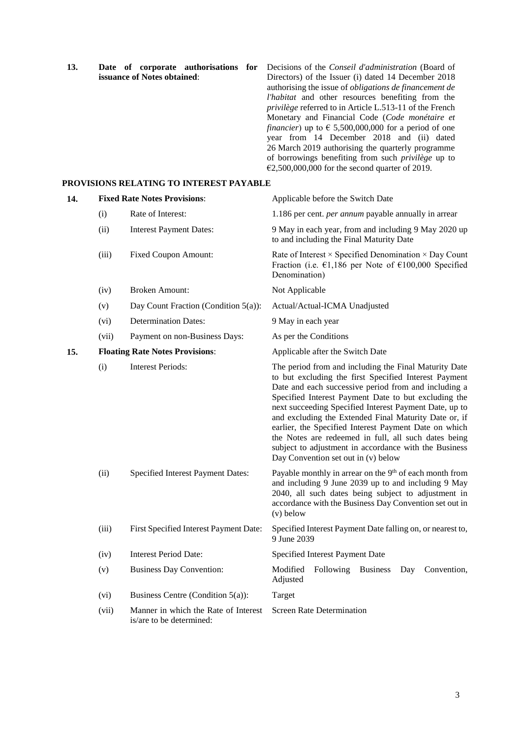| 13. | Date of corporate authorisations        | for | Decisions of the <i>Conseil d'administration</i> (Board of            |
|-----|-----------------------------------------|-----|-----------------------------------------------------------------------|
|     | issuance of Notes obtained:             |     | Directors) of the Issuer (i) dated 14 December 2018                   |
|     |                                         |     | authorising the issue of <i>obligations de financement de</i>         |
|     |                                         |     | <i>l'habitat</i> and other resources benefiting from the              |
|     |                                         |     | <i>privilège</i> referred to in Article L.513-11 of the French        |
|     |                                         |     | Monetary and Financial Code (Code monétaire et                        |
|     |                                         |     | <i>financier</i> ) up to $\epsilon$ 5,500,000,000 for a period of one |
|     |                                         |     | year from 14 December 2018 and (ii) dated                             |
|     |                                         |     | 26 March 2019 authorising the quarterly programme                     |
|     |                                         |     | of borrowings benefiting from such <i>privilege</i> up to             |
|     |                                         |     | $\epsilon$ 2,500,000,000 for the second quarter of 2019.              |
|     | PROVISIONS RELATING TO INTEREST PAYABLE |     |                                                                       |

| 14. |       | <b>Fixed Rate Notes Provisions:</b>                              | Applicable before the Switch Date                                                                                                                                                                                                                                                                                                                                                                                                                                                                                                                                  |
|-----|-------|------------------------------------------------------------------|--------------------------------------------------------------------------------------------------------------------------------------------------------------------------------------------------------------------------------------------------------------------------------------------------------------------------------------------------------------------------------------------------------------------------------------------------------------------------------------------------------------------------------------------------------------------|
|     | (i)   | Rate of Interest:                                                | 1.186 per cent. <i>per annum</i> payable annually in arrear                                                                                                                                                                                                                                                                                                                                                                                                                                                                                                        |
|     | (ii)  | <b>Interest Payment Dates:</b>                                   | 9 May in each year, from and including 9 May 2020 up<br>to and including the Final Maturity Date                                                                                                                                                                                                                                                                                                                                                                                                                                                                   |
|     | (iii) | <b>Fixed Coupon Amount:</b>                                      | Rate of Interest × Specified Denomination × Day Count<br>Fraction (i.e. $\epsilon$ 1,186 per Note of $\epsilon$ 100,000 Specified<br>Denomination)                                                                                                                                                                                                                                                                                                                                                                                                                 |
|     | (iv)  | <b>Broken Amount:</b>                                            | Not Applicable                                                                                                                                                                                                                                                                                                                                                                                                                                                                                                                                                     |
|     | (v)   | Day Count Fraction (Condition 5(a)):                             | Actual/Actual-ICMA Unadjusted                                                                                                                                                                                                                                                                                                                                                                                                                                                                                                                                      |
|     | (vi)  | <b>Determination Dates:</b>                                      | 9 May in each year                                                                                                                                                                                                                                                                                                                                                                                                                                                                                                                                                 |
|     | (vii) | Payment on non-Business Days:                                    | As per the Conditions                                                                                                                                                                                                                                                                                                                                                                                                                                                                                                                                              |
| 15. |       | <b>Floating Rate Notes Provisions:</b>                           | Applicable after the Switch Date                                                                                                                                                                                                                                                                                                                                                                                                                                                                                                                                   |
|     | (i)   | <b>Interest Periods:</b>                                         | The period from and including the Final Maturity Date<br>to but excluding the first Specified Interest Payment<br>Date and each successive period from and including a<br>Specified Interest Payment Date to but excluding the<br>next succeeding Specified Interest Payment Date, up to<br>and excluding the Extended Final Maturity Date or, if<br>earlier, the Specified Interest Payment Date on which<br>the Notes are redeemed in full, all such dates being<br>subject to adjustment in accordance with the Business<br>Day Convention set out in (v) below |
|     | (ii)  | Specified Interest Payment Dates:                                | Payable monthly in arrear on the 9 <sup>th</sup> of each month from<br>and including 9 June 2039 up to and including 9 May<br>2040, all such dates being subject to adjustment in<br>accordance with the Business Day Convention set out in<br>$(v)$ below                                                                                                                                                                                                                                                                                                         |
|     | (iii) | First Specified Interest Payment Date:                           | Specified Interest Payment Date falling on, or nearest to,<br>9 June 2039                                                                                                                                                                                                                                                                                                                                                                                                                                                                                          |
|     | (iv)  | <b>Interest Period Date:</b>                                     | Specified Interest Payment Date                                                                                                                                                                                                                                                                                                                                                                                                                                                                                                                                    |
|     | (v)   | <b>Business Day Convention:</b>                                  | Modified<br>Following<br><b>Business</b><br>Convention,<br>Day<br>Adjusted                                                                                                                                                                                                                                                                                                                                                                                                                                                                                         |
|     | (vi)  | Business Centre (Condition 5(a)):                                | Target                                                                                                                                                                                                                                                                                                                                                                                                                                                                                                                                                             |
|     | (vii) | Manner in which the Rate of Interest<br>is/are to be determined: | <b>Screen Rate Determination</b>                                                                                                                                                                                                                                                                                                                                                                                                                                                                                                                                   |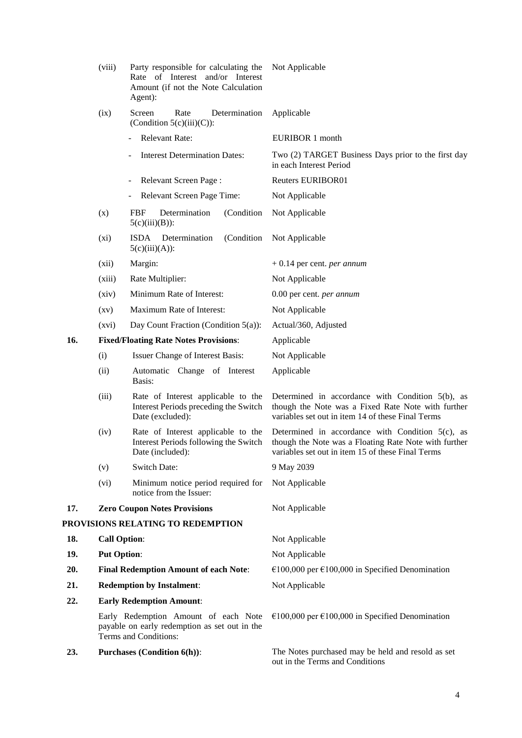|     | (viii)              | Party responsible for calculating the<br>Rate of Interest and/or Interest<br>Amount (if not the Note Calculation<br>Agent): | Not Applicable                                                                                                                                                    |
|-----|---------------------|-----------------------------------------------------------------------------------------------------------------------------|-------------------------------------------------------------------------------------------------------------------------------------------------------------------|
|     | (ix)                | Determination<br>Screen<br>Rate<br>(Condition $5(c)(iii)(C)$ ):                                                             | Applicable                                                                                                                                                        |
|     |                     | <b>Relevant Rate:</b>                                                                                                       | EURIBOR 1 month                                                                                                                                                   |
|     |                     | <b>Interest Determination Dates:</b>                                                                                        | Two (2) TARGET Business Days prior to the first day<br>in each Interest Period                                                                                    |
|     |                     | <b>Relevant Screen Page:</b>                                                                                                | <b>Reuters EURIBOR01</b>                                                                                                                                          |
|     |                     | Relevant Screen Page Time:                                                                                                  | Not Applicable                                                                                                                                                    |
|     | (x)                 | Determination<br>(Condition<br>FBF<br>$5(c)(iii)(B))$ :                                                                     | Not Applicable                                                                                                                                                    |
|     | $(x_i)$             | <b>ISDA</b><br>(Condition<br>Determination<br>$5(c)(iii)(A))$ :                                                             | Not Applicable                                                                                                                                                    |
|     | (xii)               | Margin:                                                                                                                     | $+0.14$ per cent. <i>per annum</i>                                                                                                                                |
|     | (xiii)              | Rate Multiplier:                                                                                                            | Not Applicable                                                                                                                                                    |
|     | (xiv)               | Minimum Rate of Interest:                                                                                                   | 0.00 per cent. per annum                                                                                                                                          |
|     | $\left( xy\right)$  | Maximum Rate of Interest:                                                                                                   | Not Applicable                                                                                                                                                    |
|     | (xvi)               | Day Count Fraction (Condition 5(a)):                                                                                        | Actual/360, Adjusted                                                                                                                                              |
| 16. |                     | <b>Fixed/Floating Rate Notes Provisions:</b>                                                                                | Applicable                                                                                                                                                        |
|     | (i)                 | Issuer Change of Interest Basis:                                                                                            | Not Applicable                                                                                                                                                    |
|     | (ii)                | Automatic Change of Interest<br>Basis:                                                                                      | Applicable                                                                                                                                                        |
|     | (iii)               | Rate of Interest applicable to the<br>Interest Periods preceding the Switch<br>Date (excluded):                             | Determined in accordance with Condition $5(b)$ , as<br>though the Note was a Fixed Rate Note with further<br>variables set out in item 14 of these Final Terms    |
|     | (iv)                | Rate of Interest applicable to the<br>Interest Periods following the Switch<br>Date (included):                             | Determined in accordance with Condition $5(c)$ , as<br>though the Note was a Floating Rate Note with further<br>variables set out in item 15 of these Final Terms |
|     | (v)                 | <b>Switch Date:</b>                                                                                                         | 9 May 2039                                                                                                                                                        |
|     | (vi)                | Minimum notice period required for<br>notice from the Issuer:                                                               | Not Applicable                                                                                                                                                    |
| 17. |                     | <b>Zero Coupon Notes Provisions</b>                                                                                         | Not Applicable                                                                                                                                                    |
|     |                     | PROVISIONS RELATING TO REDEMPTION                                                                                           |                                                                                                                                                                   |
| 18. | <b>Call Option:</b> |                                                                                                                             | Not Applicable                                                                                                                                                    |
| 19. | <b>Put Option:</b>  |                                                                                                                             | Not Applicable                                                                                                                                                    |
| 20. |                     | <b>Final Redemption Amount of each Note:</b>                                                                                | €100,000 per €100,000 in Specified Denomination                                                                                                                   |
| 21. |                     | <b>Redemption by Instalment:</b>                                                                                            | Not Applicable                                                                                                                                                    |
| 22. |                     | <b>Early Redemption Amount:</b>                                                                                             |                                                                                                                                                                   |
|     |                     | Early Redemption Amount of each Note<br>payable on early redemption as set out in the<br>Terms and Conditions:              | €100,000 per €100,000 in Specified Denomination                                                                                                                   |
| 23. |                     | <b>Purchases (Condition 6(h)):</b>                                                                                          | The Notes purchased may be held and resold as set<br>out in the Terms and Conditions                                                                              |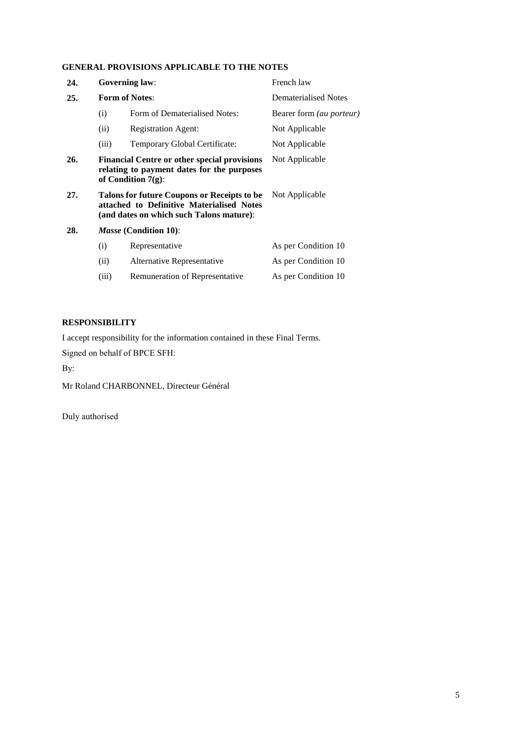### **GENERAL PROVISIONS APPLICABLE TO THE NOTES**

| 24. |                                                                                                                                                        | <b>Governing law:</b>          | French law                      |
|-----|--------------------------------------------------------------------------------------------------------------------------------------------------------|--------------------------------|---------------------------------|
| 25. |                                                                                                                                                        | <b>Form of Notes:</b>          | Dematerialised Notes            |
|     | (i)                                                                                                                                                    | Form of Dematerialised Notes:  | Bearer form <i>(au porteur)</i> |
|     | (ii)                                                                                                                                                   | <b>Registration Agent:</b>     | Not Applicable                  |
|     | (iii)                                                                                                                                                  | Temporary Global Certificate:  | Not Applicable                  |
| 26. | <b>Financial Centre or other special provisions</b><br>Not Applicable<br>relating to payment dates for the purposes<br>of Condition $7(g)$ :           |                                |                                 |
| 27. | Talons for future Coupons or Receipts to be<br>Not Applicable<br>attached to Definitive Materialised Notes<br>(and dates on which such Talons mature): |                                |                                 |
| 28. |                                                                                                                                                        | <i>Masse</i> (Condition 10):   |                                 |
|     | (i)                                                                                                                                                    | Representative                 | As per Condition 10             |
|     | (ii)                                                                                                                                                   | Alternative Representative     | As per Condition 10             |
|     | (iii)                                                                                                                                                  | Remuneration of Representative | As per Condition 10             |

## **RESPONSIBILITY**

I accept responsibility for the information contained in these Final Terms.

Signed on behalf of BPCE SFH:

By:

Mr Roland CHARBONNEL, Directeur Général

Duly authorised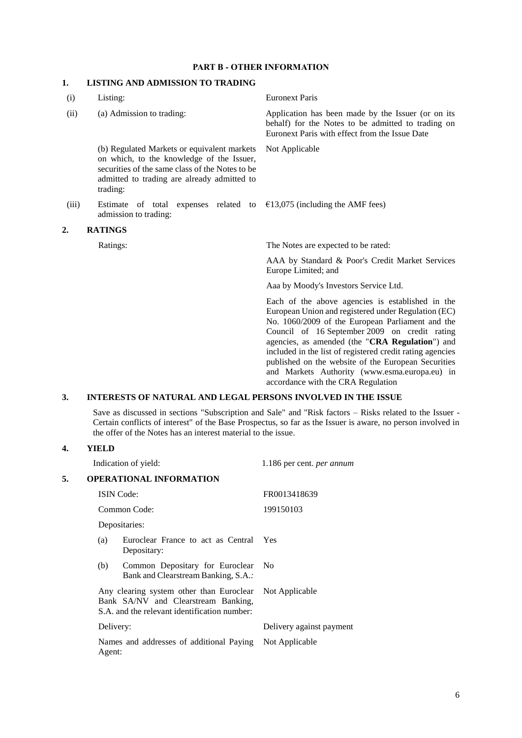#### **PART B - OTHER INFORMATION**

### **1. LISTING AND ADMISSION TO TRADING**

| (i)   | Listing:                                                                                                                                                                                               | <b>Euronext Paris</b>                                                                                                                                                                                                                                                                                                                                                                                                                                                      |
|-------|--------------------------------------------------------------------------------------------------------------------------------------------------------------------------------------------------------|----------------------------------------------------------------------------------------------------------------------------------------------------------------------------------------------------------------------------------------------------------------------------------------------------------------------------------------------------------------------------------------------------------------------------------------------------------------------------|
| (ii)  | (a) Admission to trading:                                                                                                                                                                              | Application has been made by the Issuer (or on its<br>behalf) for the Notes to be admitted to trading on<br>Euronext Paris with effect from the Issue Date                                                                                                                                                                                                                                                                                                                 |
|       | (b) Regulated Markets or equivalent markets<br>on which, to the knowledge of the Issuer,<br>securities of the same class of the Notes to be<br>admitted to trading are already admitted to<br>trading: | Not Applicable                                                                                                                                                                                                                                                                                                                                                                                                                                                             |
| (iii) | Estimate of total expenses related to $\epsilon$ 13,075 (including the AMF fees)<br>admission to trading:                                                                                              |                                                                                                                                                                                                                                                                                                                                                                                                                                                                            |
| 2.    | <b>RATINGS</b>                                                                                                                                                                                         |                                                                                                                                                                                                                                                                                                                                                                                                                                                                            |
|       | Ratings:                                                                                                                                                                                               | The Notes are expected to be rated:                                                                                                                                                                                                                                                                                                                                                                                                                                        |
|       |                                                                                                                                                                                                        | AAA by Standard & Poor's Credit Market Services<br>Europe Limited; and                                                                                                                                                                                                                                                                                                                                                                                                     |
|       |                                                                                                                                                                                                        | Aaa by Moody's Investors Service Ltd.                                                                                                                                                                                                                                                                                                                                                                                                                                      |
|       |                                                                                                                                                                                                        | Each of the above agencies is established in the<br>European Union and registered under Regulation (EC)<br>No. 1060/2009 of the European Parliament and the<br>Council of 16 September 2009 on credit rating<br>agencies, as amended (the "CRA Regulation") and<br>included in the list of registered credit rating agencies<br>published on the website of the European Securities<br>and Markets Authority (www.esma.europa.eu) in<br>accordance with the CRA Regulation |
| 3.    | <b>INTERESTS OF NATURAL AND LEGAL PERSONS INVOLVED IN THE ISSUE</b>                                                                                                                                    |                                                                                                                                                                                                                                                                                                                                                                                                                                                                            |

Save as discussed in sections "Subscription and Sale" and "Risk factors – Risks related to the Issuer - Certain conflicts of interest" of the Base Prospectus, so far as the Issuer is aware, no person involved in the offer of the Notes has an interest material to the issue.

#### **4. YIELD**

|    |           | Indication of yield:                                                                                                                           | 1.186 per cent. <i>per annum</i> |  |
|----|-----------|------------------------------------------------------------------------------------------------------------------------------------------------|----------------------------------|--|
| 5. |           | <b>OPERATIONAL INFORMATION</b>                                                                                                                 |                                  |  |
|    |           | <b>ISIN</b> Code:                                                                                                                              | FR0013418639                     |  |
|    |           | Common Code:                                                                                                                                   | 199150103                        |  |
|    |           | Depositaries:                                                                                                                                  |                                  |  |
|    | (a)       | Euroclear France to act as Central<br>Depositary:                                                                                              | <b>Yes</b>                       |  |
|    | (b)       | Common Depositary for Euroclear<br>Bank and Clearstream Banking, S.A.:                                                                         | - No                             |  |
|    |           | Any clearing system other than Euroclear Not Applicable<br>Bank SA/NV and Clearstream Banking,<br>S.A. and the relevant identification number: |                                  |  |
|    | Delivery: |                                                                                                                                                | Delivery against payment         |  |
|    | Agent:    | Names and addresses of additional Paying                                                                                                       | Not Applicable                   |  |